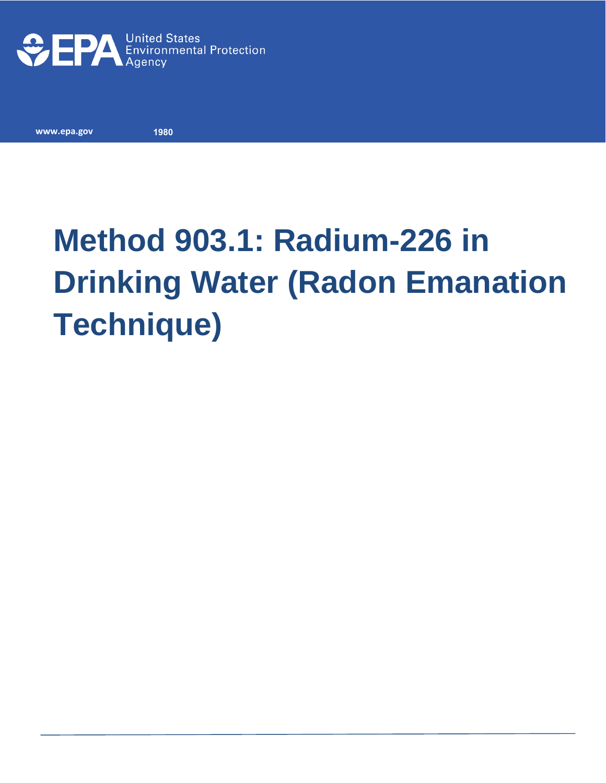

**www.epa.gov** 

**1980**

# **Method 903.1: Radium-226 in Drinking Water (Radon Emanation Technique)**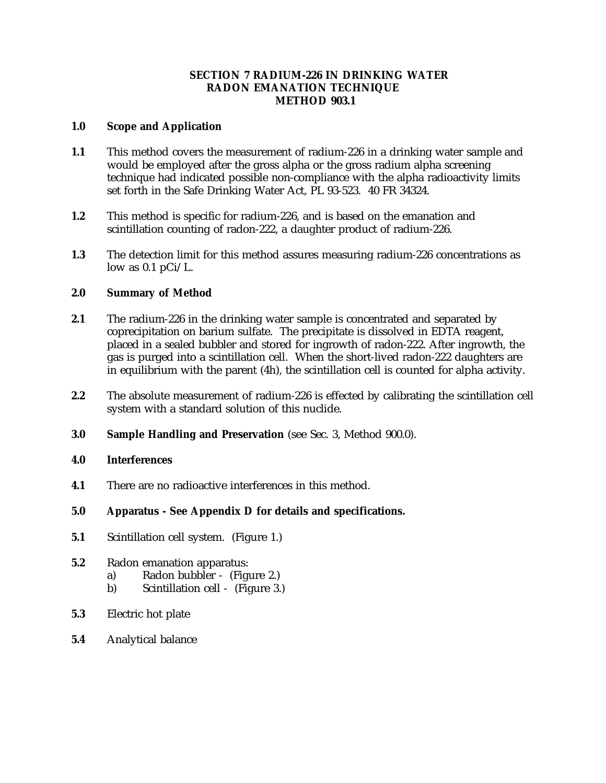## **SECTION 7 RADIUM-226 IN DRINKING WATER RADON EMANATION TECHNIQUE METHOD 903.1**

### **1.0 Scope and Application**

- **1.1** This method covers the measurement of radium-226 in a drinking water sample and would be employed after the gross alpha or the gross radium alpha screening technique had indicated possible non-compliance with the alpha radioactivity limits set forth in the Safe Drinking Water Act, PL 93-523. 40 FR 34324.
- **1.2** This method is specific for radium-226, and is based on the emanation and scintillation counting of radon-222, a daughter product of radium-226.
- 1.3 The detection limit for this method assures measuring radium-226 concentrations as low as  $0.1$  pCi/L.

#### 2.0 **2.0 Summary of Method**

- $2.1$ The radium-226 in the drinking water sample is concentrated and separated by coprecipitation on barium sulfate. The precipitate is dissolved in EDTA reagent, placed in a sealed bubbler and stored for ingrowth of radon-222. After ingrowth, the gas is purged into a scintillation cell. When the short-lived radon-222 daughters are in equilibrium with the parent (4h), the scintillation cell is counted for alpha activity.
- **2.2** The absolute measurement of radium-226 is effected by calibrating the scintillation cell system with a standard solution of this nuclide.
- 3.0 **Sample Handling and Preservation** (see Sec. 3, Method 900.0).
- **4.0 Interferences**
- **4.1** There are no radioactive interferences in this method.
- $5.0$ **5.0 Apparatus - See Appendix D for details and specifications.**
- $5.1$ **Scintillation cell system.** (Figure 1.)
- **5.2** Radon emanation apparatus:
	- a) Radon bubbler (Figure 2.)
	- b) Scintillation cell (Figure 3.)
- 5.3 **5.3** Electric hot plate
- **5.4** Analytical balance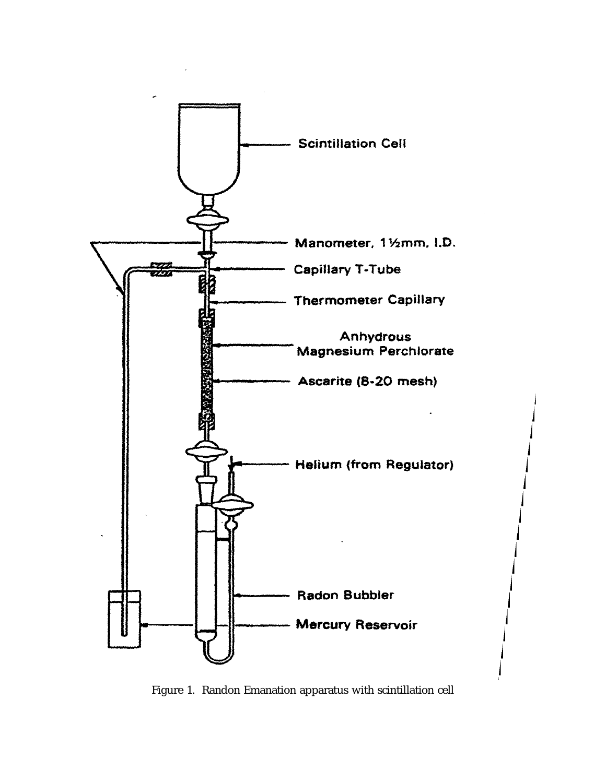

Figure 1. Randon Emanation apparatus with scintillation cell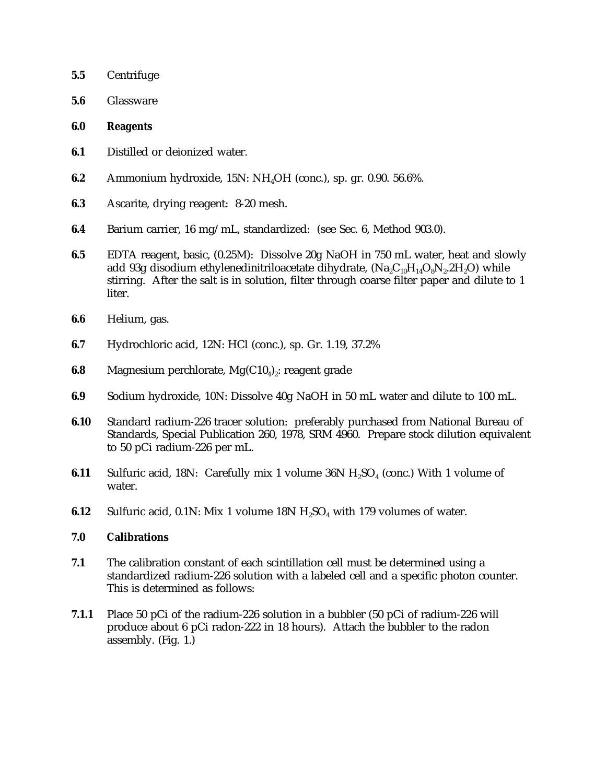- **5.5** Centrifuge
- **5.6** Glassware
- **6.0 Reagents**
- **6.1** Distilled or deionized water.
- **6.2** Ammonium hydroxide, 15N: NH<sub>4</sub>OH (conc.), sp. gr. 0.90. 56.6%.
- **6.3** Ascarite, drying reagent: 8-20 mesh.
- **6.4** Barium carrier, 16 mg/mL, standardized: (see Sec. 6, Method 903.0).
- **6.5** EDTA reagent, basic, (0.25M): Dissolve 20g NaOH in 750 mL water, heat and slowly add 93g disodium ethylenedinitriloacetate dihydrate,  $(Na<sub>9</sub>C<sub>10</sub>H<sub>14</sub>O<sub>9</sub>N<sub>9</sub>·2H<sub>9</sub>O)$  while stirring. After the salt is in solution, filter through coarse filter paper and dilute to 1 liter.
- **6.6** Helium, gas.
- **6.7** Hydrochloric acid, 12N: HCl (conc.), sp. Gr. 1.19, 37.2%
- **6.8** Magnesium perchlorate,  $Mg(C10<sub>4</sub>)$ : reagent grade
- **6.9** Sodium hydroxide, 10N: Dissolve 40g NaOH in 50 mL water and dilute to 100 mL.
- **6.10** Standard radium-226 tracer solution: preferably purchased from National Bureau of Standards, Special Publication 260, 1978, SRM 4960. Prepare stock dilution equivalent to 50 pCi radium-226 per mL.
- **6.11** Sulfuric acid, 18N: Carefully mix 1 volume  $36N H<sub>2</sub>SO<sub>4</sub>$  (conc.) With 1 volume of water.
- **6.12** Sulfuric acid, 0.1N: Mix 1 volume  $18N H<sub>2</sub>SO<sub>4</sub>$  with 179 volumes of water.

#### **7.0 Calibrations**

- **7.1** The calibration constant of each scintillation cell must be determined using a standardized radium-226 solution with a labeled cell and a specific photon counter. This is determined as follows:
- **7.1.1** Place 50 pCi of the radium-226 solution in a bubbler (50 pCi of radium-226 will produce about 6 pCi radon-222 in 18 hours). Attach the bubbler to the radon assembly. (Fig. 1.)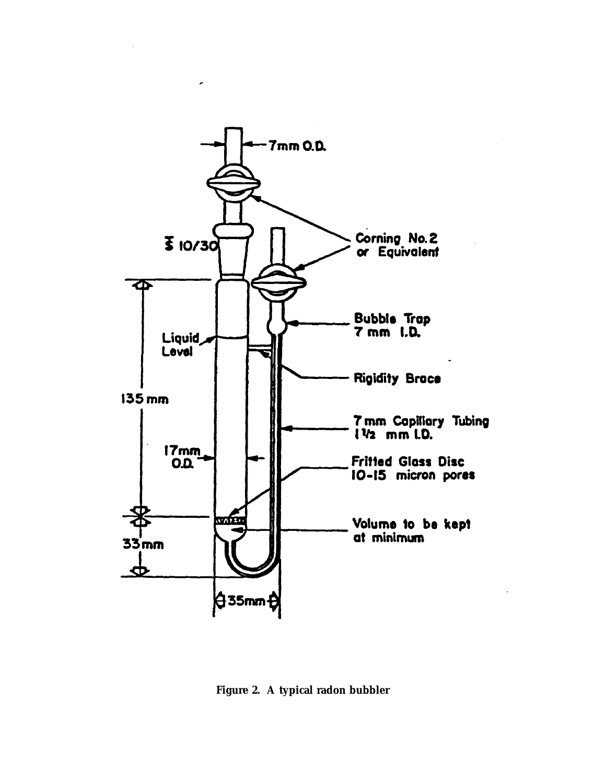

**Figure 2. A typical radon bubbler**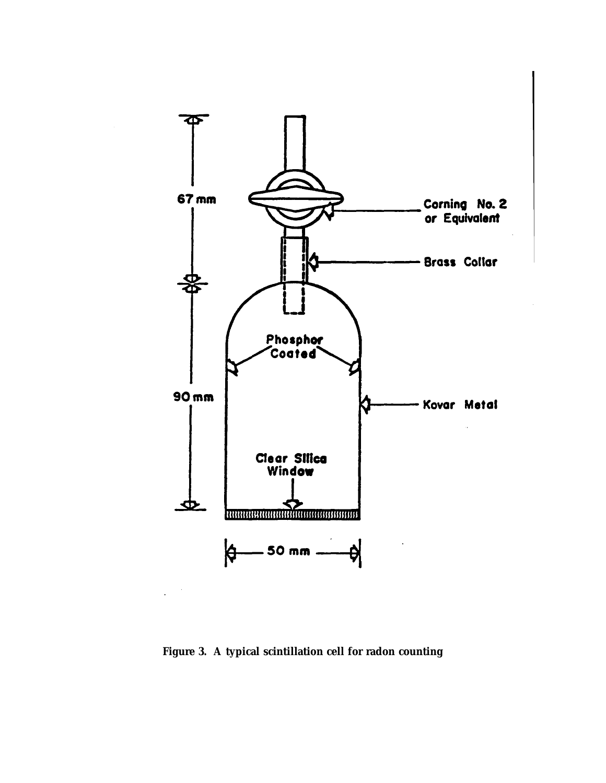

**Figure 3. A typical scintillation cell for radon counting**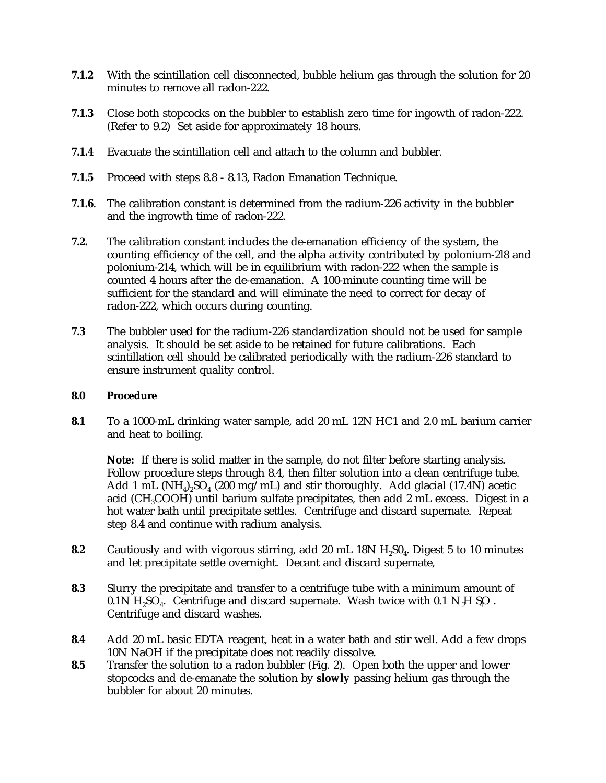- **7.1.2** With the scintillation cell disconnected, bubble helium gas through the solution for 20 minutes to remove all radon-222.
- **7.1.3** Close both stopcocks on the bubbler to establish zero time for ingowth of radon-222. (Refer to 9.2) Set aside for approximately 18 hours.
- **7.1.4** Evacuate the scintillation cell and attach to the column and bubbler.
- **7.1.5** Proceed with steps 8.8 8.13, Radon Emanation Technique.
- **7.1.6**. The calibration constant is determined from the radium-226 activity in the bubbler and the ingrowth time of radon-222.
- **7.2.** The calibration constant includes the de-emanation efficiency of the system, the counting efficiency of the cell, and the alpha activity contributed by polonium-2l8 and polonium-214, which will be in equilibrium with radon-222 when the sample is counted 4 hours after the de-emanation. A 100-minute counting time will be sufficient for the standard and will eliminate the need to correct for decay of radon-222, which occurs during counting.
- **7.3** The bubbler used for the radium-226 standardization should not be used for sample analysis. It should be set aside to be retained for future calibrations. Each scintillation cell should be calibrated periodically with the radium-226 standard to ensure instrument quality control.

### **8.0 Procedure**

**8.1** To a 1000-mL drinking water sample, add 20 mL 12N HC1 and 2.0 mL barium carrier and heat to boiling.

**Note:** If there is solid matter in the sample, do not filter before starting analysis. Follow procedure steps through 8.4, then filter solution into a clean centrifuge tube. Add 1 mL  $(NH<sub>d</sub>)$ ,  $SO<sub>d</sub>$  (200 mg/mL) and stir thoroughly. Add glacial (17.4N) acetic acid (CH<sub>3</sub>COOH) until barium sulfate precipitates, then add  $2 \text{ mL excess}$ . Digest in a hot water bath until precipitate settles. Centrifuge and discard supernate. Repeat step 8.4 and continue with radium analysis.

- **8.2** Cautiously and with vigorous stirring, add 20 mL 18N H<sub>2</sub>S0<sub>4</sub>. Digest 5 to 10 minutes and let precipitate settle overnight. Decant and discard supernate,
- **8.3** Slurry the precipitate and transfer to a centrifuge tube with a minimum amount of  $0.1N$  H<sub>2</sub>SO<sub>4</sub>. Centrifuge and discard supernate. Wash twice with  $0.1 N$  H<sub>2</sub>SO . Centrifuge and discard washes.
- **8.4** Add 20 mL basic EDTA reagent, heat in a water bath and stir well. Add a few drops 10N NaOH if the precipitate does not readily dissolve.
- **8.5** Transfer the solution to a radon bubbler (Fig. 2). Open both the upper and lower stopcocks and de-emanate the solution by **slowly** passing helium gas through the bubbler for about 20 minutes.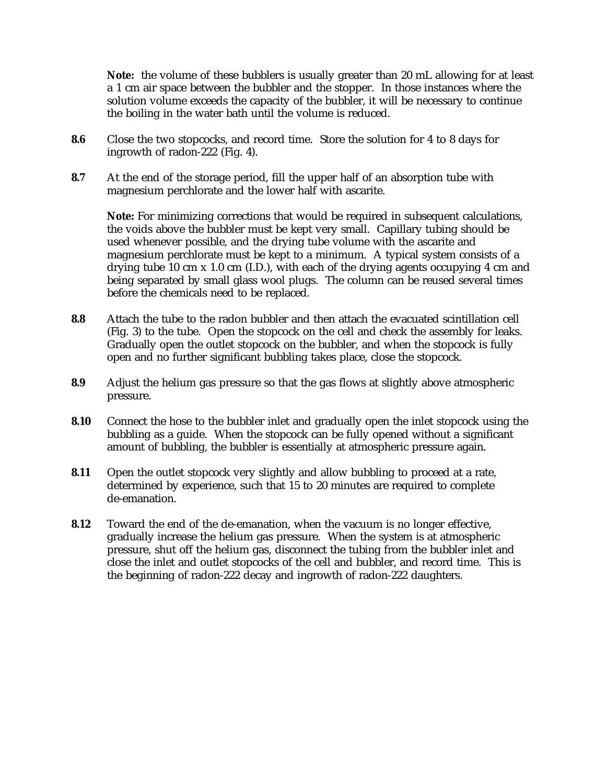**Note:** the volume of these bubblers is usually greater than 20 mL allowing for at least a 1 cm air space between the bubbler and the stopper. In those instances where the solution volume exceeds the capacity of the bubbler, it will be necessary to continue the boiling in the water bath until the volume is reduced.

- **8.6** Close the two stopcocks, and record time. Store the solution for 4 to 8 days for ingrowth of radon-222 (Fig. 4).
- **8.7** At the end of the storage period, fill the upper half of an absorption tube with magnesium perchlorate and the lower half with ascarite.

**Note:** For minimizing corrections that would be required in subsequent calculations, the voids above the bubbler must be kept very small. Capillary tubing should be used whenever possible, and the drying tube volume with the ascarite and magnesium perchlorate must be kept to a minimum. A typical system consists of a drying tube 10 cm x 1.0 cm (I.D.), with each of the drying agents occupying 4 cm and being separated by small glass wool plugs. The column can be reused several times before the chemicals need to be replaced.

- **8.8** Attach the tube to the radon bubbler and then attach the evacuated scintillation cell (Fig. 3) to the tube. Open the stopcock on the cell and check the assembly for leaks. Gradually open the outlet stopcock on the bubbler, and when the stopcock is fully open and no further significant bubbling takes place, close the stopcock.
- **8.9** Adjust the helium gas pressure so that the gas flows at slightly above atmospheric pressure.
- **8.10** Connect the hose to the bubbler inlet and gradually open the inlet stopcock using the bubbling as a guide. When the stopcock can be fully opened without a significant amount of bubbling, the bubbler is essentially at atmospheric pressure again.
- **8.11** Open the outlet stopcock very slightly and allow bubbling to proceed at a rate, determined by experience, such that 15 to 20 minutes are required to complete de-emanation.
- **8.12** Toward the end of the de-emanation, when the vacuum is no longer effective, gradually increase the helium gas pressure. When the system is at atmospheric pressure, shut off the helium gas, disconnect the tubing from the bubbler inlet and close the inlet and outlet stopcocks of the cell and bubbler, and record time. This is the beginning of radon-222 decay and ingrowth of radon-222 daughters.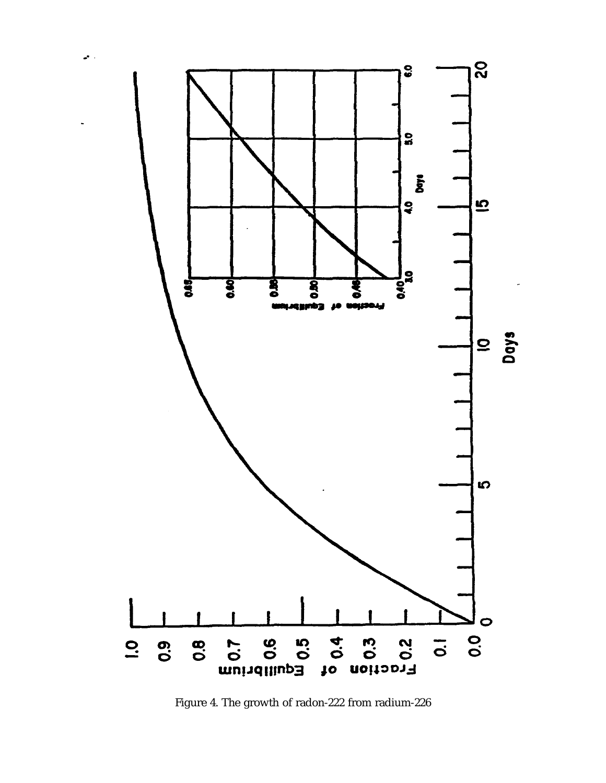

ц.

Figure 4. The growth of radon-222 from radium-226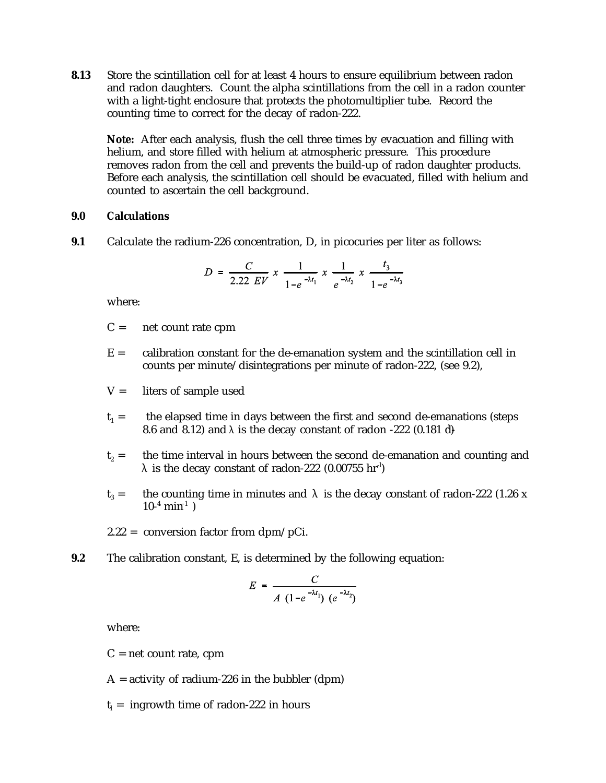**8.13** Store the scintillation cell for at least 4 hours to ensure equilibrium between radon and radon daughters. Count the alpha scintillations from the cell in a radon counter with a light-tight enclosure that protects the photomultiplier tube. Record the counting time to correct for the decay of radon-222.

**Note:** After each analysis, flush the cell three times by evacuation and filling with helium, and store filled with helium at atmospheric pressure. This procedure removes radon from the cell and prevents the build-up of radon daughter products. Before each analysis, the scintillation cell should be evacuated, filled with helium and counted to ascertain the cell background.

#### **9.0 Calculations**

**9.1** Calculate the radium-226 concentration, D, in picocuries per liter as follows:

$$
D = \frac{C}{2.22 \text{ } EV} \times \frac{1}{1 - e^{-\lambda t_1}} \times \frac{1}{e^{-\lambda t_2}} \times \frac{t_3}{1 - e^{-\lambda t_3}}
$$

where:

- $C =$  net count rate cpm
- $E =$  calibration constant for the de-emanation system and the scintillation cell in counts per minute/disintegrations per minute of radon-222, (see 9.2),
- $V =$  liters of sample used
- $t_1 =$  the elapsed time in days between the first and second de-emanations (steps 8.6 and 8.12) and  $\lambda$  is the decay constant of radon -222 (0.181 d)
- $t<sub>2</sub>$  = the time interval in hours between the second de-emanation and counting and  $\lambda$  is the decay constant of radon-222 (0.00755 hr $^1$ )
- t<sub>3</sub> = the counting time in minutes and  $\lambda$  is the decay constant of radon-222 (1.26 x  $10^{-4}$  min<sup>-1</sup>)
- 2.22 = conversion factor from dpm/pCi.
- **9.2** The calibration constant, E, is determined by the following equation:

$$
E = \frac{C}{A (1 - e^{-\lambda t_1}) (e^{-\lambda t_2})}
$$

where:

 $C = net count rate$ , cpm

 $A =$  activity of radium-226 in the bubbler (dpm)

 $t<sub>l</sub>$  = ingrowth time of radon-222 in hours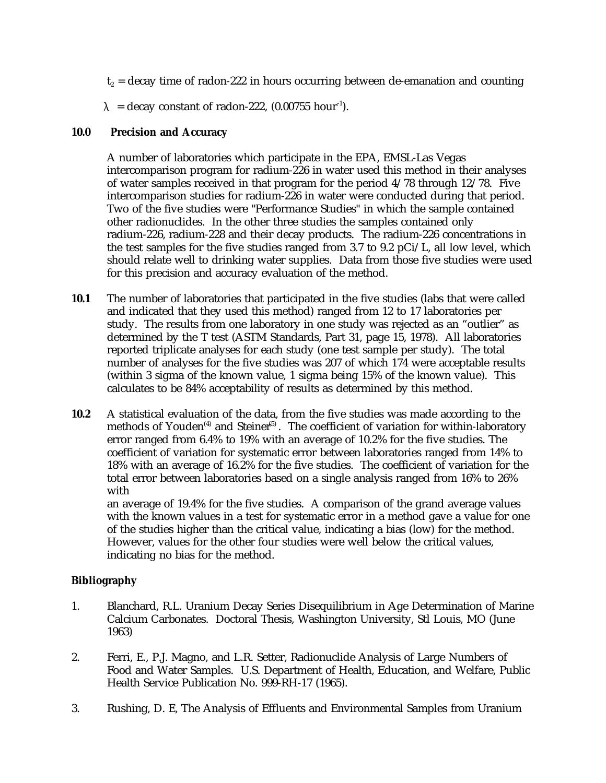- $t<sub>2</sub> = decay time of radon-222 in hours occurring between de-emanation and counting$
- $\lambda$  = decay constant of radon-222, (0.00755 hour<sup>-1</sup>).

# **10.0 Precision and Accuracy**

A number of laboratories which participate in the EPA, EMSL-Las Vegas intercomparison program for radium-226 in water used this method in their analyses of water samples received in that program for the period 4/78 through 12/78. Five intercomparison studies for radium-226 in water were conducted during that period. Two of the five studies were "Performance Studies" in which the sample contained other radionuclides. In the other three studies the samples contained only radium-226, radium-228 and their decay products. The radium-226 concentrations in the test samples for the five studies ranged from 3.7 to 9.2  $pCi/L$ , all low level, which should relate well to drinking water supplies. Data from those five studies were used for this precision and accuracy evaluation of the method.

- **10.1** The number of laboratories that participated in the five studies (labs that were called and indicated that they used this method) ranged from 12 to 17 laboratories per study. The results from one laboratory in one study was rejected as an "outlier" as determined by the T test (ASTM Standards, Part 31, page 15, 1978). All laboratories reported triplicate analyses for each study (one test sample per study). The total number of analyses for the five studies was 207 of which 174 were acceptable results (within 3 sigma of the known value, 1 sigma being 15% of the known value). This calculates to be 84% acceptability of results as determined by this method.
- **10.2** A statistical evaluation of the data, from the five studies was made according to the methods of Youden<sup> $(4)$ </sup> and Steiner<sup> $(5)$ </sup>. The coefficient of variation for within-laboratory error ranged from 6.4% to 19% with an average of 10.2% for the five studies. The coefficient of variation for systematic error between laboratories ranged from 14% to 18% with an average of 16.2% for the five studies. The coefficient of variation for the total error between laboratories based on a single analysis ranged from 16% to 26% with

an average of 19.4% for the five studies. A comparison of the grand average values with the known values in a test for systematic error in a method gave a value for one of the studies higher than the critical value, indicating a bias (low) for the method. However, values for the other four studies were well below the critical values, indicating no bias for the method.

# **Bibliography**

- 1. Blanchard, R.L. Uranium Decay Series Disequilibrium in Age Determination of Marine Calcium Carbonates. Doctoral Thesis, Washington University, Stl Louis, MO (June 1963)
- 2. Ferri, E., P.J. Magno, and L.R. Setter, Radionuclide Analysis of Large Numbers of Food and Water Samples. U.S. Department of Health, Education, and Welfare, Public Health Service Publication No. 999-RH-17 (1965).
- 3. Rushing, D. E, The Analysis of Effluents and Environmental Samples from Uranium